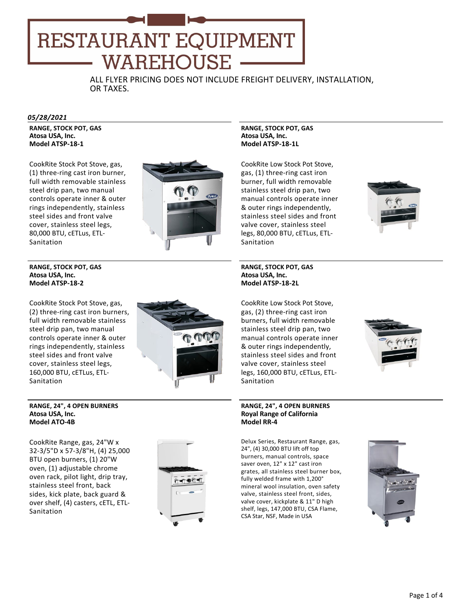# RESTAURANT EQUIPMENT **WAREHOUSE**

ALL FLYER PRICING DOES NOT INCLUDE FREIGHT DELIVERY, INSTALLATION, OR TAXES.

#### *05/28/2021*

**RANGE, STOCK POT, GAS Atosa USA, Inc. Model ATSP‐18‐1**

CookRite Stock Pot Stove, gas, (1) three‐ring cast iron burner, full width removable stainless steel drip pan, two manual controls operate inner & outer rings independently, stainless steel sides and front valve cover, stainless steel legs, 80,000 BTU, cETLus, ETL‐ Sanitation



# **RANGE, STOCK POT, GAS Atosa USA, Inc. Model ATSP‐18‐2**

CookRite Stock Pot Stove, gas, (2) three‐ring cast iron burners, full width removable stainless steel drip pan, two manual controls operate inner & outer rings independently, stainless steel sides and front valve cover, stainless steel legs, 160,000 BTU, cETLus, ETL‐ Sanitation



#### **RANGE, 24", 4 OPEN BURNERS Atosa USA, Inc. Model ATO‐4B**

CookRite Range, gas, 24"W x 32‐3/5"D x 57‐3/8"H, (4) 25,000 BTU open burners, (1) 20"W oven, (1) adjustable chrome oven rack, pilot light, drip tray, stainless steel front, back sides, kick plate, back guard & over shelf, (4) casters, cETL, ETL‐ Sanitation



**RANGE, STOCK POT, GAS Atosa USA, Inc. Model ATSP‐18‐1L**

CookRite Low Stock Pot Stove, gas, (1) three‐ring cast iron burner, full width removable stainless steel drip pan, two manual controls operate inner & outer rings independently, stainless steel sides and front valve cover, stainless steel legs, 80,000 BTU, cETLus, ETL‐ Sanitation



**RANGE, STOCK POT, GAS Atosa USA, Inc. Model ATSP‐18‐2L**

CookRite Low Stock Pot Stove, gas, (2) three‐ring cast iron burners, full width removable stainless steel drip pan, two manual controls operate inner & outer rings independently, stainless steel sides and front valve cover, stainless steel legs, 160,000 BTU, cETLus, ETL‐ Sanitation



# **RANGE, 24", 4 OPEN BURNERS Royal Range of California Model RR‐4**

Delux Series, Restaurant Range, gas, 24", (4) 30,000 BTU lift off top burners, manual controls, space saver oven, 12" x 12" cast iron grates, all stainless steel burner box, fully welded frame with 1,200° mineral wool insulation, oven safety valve, stainless steel front, sides, valve cover, kickplate & 11" D high shelf, legs, 147,000 BTU, CSA Flame, CSA Star, NSF, Made in USA

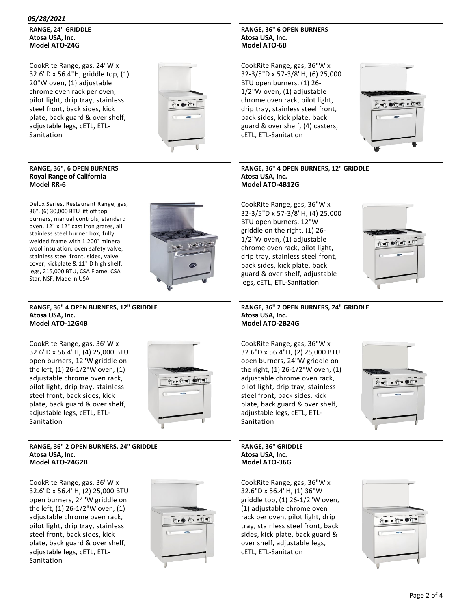**RANGE, 24" GRIDDLE Atosa USA, Inc. Model ATO‐24G**

CookRite Range, gas, 24"W x 32.6"D x 56.4"H, griddle top, (1) 20"W oven, (1) adjustable chrome oven rack per oven, pilot light, drip tray, stainless steel front, back sides, kick plate, back guard & over shelf, adjustable legs, cETL, ETL‐ Sanitation



# **RANGE, 36", 6 OPEN BURNERS Royal Range of California Model RR‐6**

Delux Series, Restaurant Range, gas, 36", (6) 30,000 BTU lift off top burners, manual controls, standard oven, 12" x 12" cast iron grates, all stainless steel burner box, fully welded frame with 1,200° mineral wool insulation, oven safety valve, stainless steel front, sides, valve cover, kickplate & 11" D high shelf, legs, 215,000 BTU, CSA Flame, CSA Star, NSF, Made in USA



#### **RANGE, 36" 4 OPEN BURNERS, 12" GRIDDLE Atosa USA, Inc. Model ATO‐12G4B**

CookRite Range, gas, 36"W x 32.6"D x 56.4"H, (4) 25,000 BTU open burners, 12"W griddle on the left, (1) 26‐1/2"W oven, (1) adjustable chrome oven rack, pilot light, drip tray, stainless steel front, back sides, kick plate, back guard & over shelf, adjustable legs, cETL, ETL‐ Sanitation



#### **RANGE, 36" 2 OPEN BURNERS, 24" GRIDDLE Atosa USA, Inc. Model ATO‐24G2B**

CookRite Range, gas, 36"W x 32.6"D x 56.4"H, (2) 25,000 BTU open burners, 24"W griddle on the left, (1) 26‐1/2"W oven, (1) adjustable chrome oven rack, pilot light, drip tray, stainless steel front, back sides, kick plate, back guard & over shelf, adjustable legs, cETL, ETL‐ Sanitation



# **RANGE, 36" 6 OPEN BURNERS Atosa USA, Inc. Model ATO‐6B**

CookRite Range, gas, 36"W x 32‐3/5"D x 57‐3/8"H, (6) 25,000 BTU open burners, (1) 26‐ 1/2"W oven, (1) adjustable chrome oven rack, pilot light, drip tray, stainless steel front, back sides, kick plate, back guard & over shelf, (4) casters, cETL, ETL‐Sanitation



# **RANGE, 36" 4 OPEN BURNERS, 12" GRIDDLE Atosa USA, Inc. Model ATO‐4B12G**

CookRite Range, gas, 36"W x 32‐3/5"D x 57‐3/8"H, (4) 25,000 BTU open burners, 12"W griddle on the right, (1) 26‐ 1/2"W oven, (1) adjustable chrome oven rack, pilot light, drip tray, stainless steel front, back sides, kick plate, back guard & over shelf, adjustable legs, cETL, ETL‐Sanitation



#### **RANGE, 36" 2 OPEN BURNERS, 24" GRIDDLE Atosa USA, Inc. Model ATO‐2B24G**

CookRite Range, gas, 36"W x 32.6"D x 56.4"H, (2) 25,000 BTU open burners, 24"W griddle on the right, (1) 26‐1/2"W oven, (1) adjustable chrome oven rack, pilot light, drip tray, stainless steel front, back sides, kick plate, back guard & over shelf, adjustable legs, cETL, ETL‐ Sanitation



**RANGE, 36" GRIDDLE Atosa USA, Inc. Model ATO‐36G**

CookRite Range, gas, 36"W x 32.6"D x 56.4"H, (1) 36"W griddle top, (1) 26‐1/2"W oven, (1) adjustable chrome oven rack per oven, pilot light, drip tray, stainless steel front, back sides, kick plate, back guard & over shelf, adjustable legs, cETL, ETL‐Sanitation

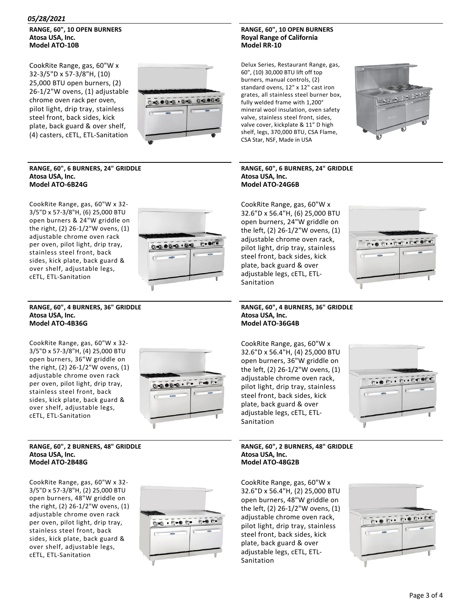# *05/28/2021*

# **RANGE, 60", 10 OPEN BURNERS Atosa USA, Inc. Model ATO‐10B**

CookRite Range, gas, 60"W x 32‐3/5"D x 57‐3/8"H, (10) 25,000 BTU open burners, (2) 26‐1/2"W ovens, (1) adjustable chrome oven rack per oven, pilot light, drip tray, stainless steel front, back sides, kick plate, back guard & over shelf, (4) casters, cETL, ETL‐Sanitation



# **RANGE, 60", 6 BURNERS, 24" GRIDDLE Atosa USA, Inc. Model ATO‐6B24G**

CookRite Range, gas, 60"W x 32‐ 3/5"D x 57‐3/8"H, (6) 25,000 BTU open burners & 24"W griddle on the right, (2) 26‐1/2"W ovens, (1) adjustable chrome oven rack per oven, pilot light, drip tray, stainless steel front, back sides, kick plate, back guard & over shelf, adjustable legs, cETL, ETL‐Sanitation



#### **RANGE, 60", 4 BURNERS, 36" GRIDDLE Atosa USA, Inc. Model ATO‐4B36G**

CookRite Range, gas, 60"W x 32‐ 3/5"D x 57‐3/8"H, (4) 25,000 BTU open burners, 36"W griddle on the right, (2) 26‐1/2"W ovens, (1) adjustable chrome oven rack per oven, pilot light, drip tray, stainless steel front, back sides, kick plate, back guard & over shelf, adjustable legs, cETL, ETL‐Sanitation



#### **RANGE, 60", 2 BURNERS, 48" GRIDDLE Atosa USA, Inc. Model ATO‐2B48G**

CookRite Range, gas, 60"W x 32‐ 3/5"D x 57‐3/8"H, (2) 25,000 BTU open burners, 48"W griddle on the right, (2) 26‐1/2"W ovens, (1) adjustable chrome oven rack per oven, pilot light, drip tray, stainless steel front, back sides, kick plate, back guard & over shelf, adjustable legs, cETL, ETL‐Sanitation



# **RANGE, 60", 10 OPEN BURNERS Royal Range of California Model RR‐10**

Delux Series, Restaurant Range, gas, 60", (10) 30,000 BTU lift off top burners, manual controls, (2) standard ovens, 12" x 12" cast iron grates, all stainless steel burner box, fully welded frame with 1,200° mineral wool insulation, oven safety valve, stainless steel front, sides, valve cover, kickplate & 11" D high shelf, legs, 370,000 BTU, CSA Flame, CSA Star, NSF, Made in USA



# **RANGE, 60", 6 BURNERS, 24" GRIDDLE Atosa USA, Inc. Model ATO‐24G6B**

CookRite Range, gas, 60"W x 32.6"D x 56.4"H, (6) 25,000 BTU open burners, 24"W griddle on the left, (2) 26‐1/2"W ovens, (1) adjustable chrome oven rack, pilot light, drip tray, stainless steel front, back sides, kick plate, back guard & over adjustable legs, cETL, ETL‐ **Sanitation** 



**RANGE, 60", 4 BURNERS, 36" GRIDDLE Atosa USA, Inc. Model ATO‐36G4B**

CookRite Range, gas, 60"W x 32.6"D x 56.4"H, (4) 25,000 BTU open burners, 36"W griddle on the left, (2) 26‐1/2"W ovens, (1) adjustable chrome oven rack, pilot light, drip tray, stainless steel front, back sides, kick plate, back guard & over adjustable legs, cETL, ETL‐ Sanitation



## **RANGE, 60", 2 BURNERS, 48" GRIDDLE Atosa USA, Inc. Model ATO‐48G2B**

CookRite Range, gas, 60"W x 32.6"D x 56.4"H, (2) 25,000 BTU open burners, 48"W griddle on the left, (2) 26‐1/2"W ovens, (1) adjustable chrome oven rack, pilot light, drip tray, stainless steel front, back sides, kick plate, back guard & over adjustable legs, cETL, ETL‐ Sanitation